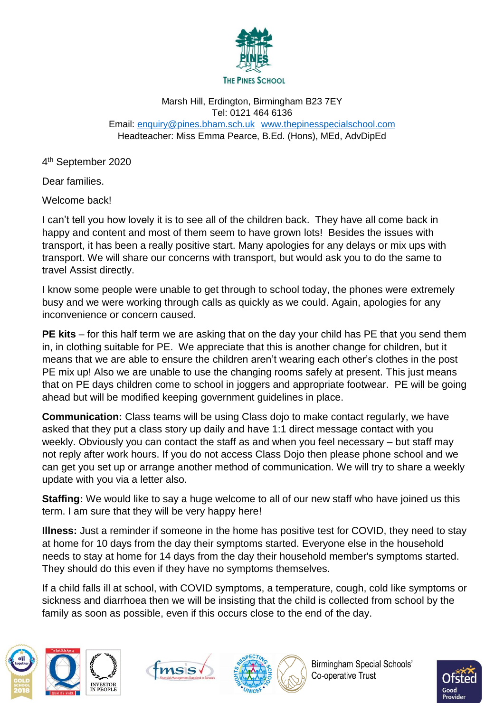

## Marsh Hill, Erdington, Birmingham B23 7EY Tel: 0121 464 6136 Email: [enquiry@pines.bham.sch.uk](mailto:enquiry@pines.bham.sch.uk) [www.thepinesspecialschool.com](http://www.thepinesspecialschool.com/) Headteacher: Miss Emma Pearce, B.Ed. (Hons), MEd, AdvDipEd

4<sup>th</sup> September 2020

Dear families.

Welcome back!

I can't tell you how lovely it is to see all of the children back. They have all come back in happy and content and most of them seem to have grown lots! Besides the issues with transport, it has been a really positive start. Many apologies for any delays or mix ups with transport. We will share our concerns with transport, but would ask you to do the same to travel Assist directly.

I know some people were unable to get through to school today, the phones were extremely busy and we were working through calls as quickly as we could. Again, apologies for any inconvenience or concern caused.

**PE kits** – for this half term we are asking that on the day your child has PE that you send them in, in clothing suitable for PE. We appreciate that this is another change for children, but it means that we are able to ensure the children aren't wearing each other's clothes in the post PE mix up! Also we are unable to use the changing rooms safely at present. This just means that on PE days children come to school in joggers and appropriate footwear. PE will be going ahead but will be modified keeping government guidelines in place.

**Communication:** Class teams will be using Class dojo to make contact regularly, we have asked that they put a class story up daily and have 1:1 direct message contact with you weekly. Obviously you can contact the staff as and when you feel necessary – but staff may not reply after work hours. If you do not access Class Dojo then please phone school and we can get you set up or arrange another method of communication. We will try to share a weekly update with you via a letter also.

**Staffing:** We would like to say a huge welcome to all of our new staff who have joined us this term. I am sure that they will be very happy here!

**Illness:** Just a reminder if someone in the home has positive test for COVID, they need to stay at home for 10 days from the day their symptoms started. Everyone else in the household needs to stay at home for 14 days from the day their household member's symptoms started. They should do this even if they have no symptoms themselves.

If a child falls ill at school, with COVID symptoms, a temperature, cough, cold like symptoms or sickness and diarrhoea then we will be insisting that the child is collected from school by the family as soon as possible, even if this occurs close to the end of the day.









**Birmingham Special Schools'** Co-operative Trust